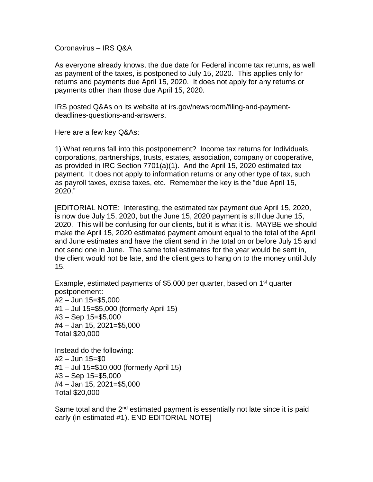Coronavirus – IRS Q&A

As everyone already knows, the due date for Federal income tax returns, as well as payment of the taxes, is postponed to July 15, 2020. This applies only for returns and payments due April 15, 2020. It does not apply for any returns or payments other than those due April 15, 2020.

IRS posted Q&As on its website at irs.gov/newsroom/filing-and-paymentdeadlines-questions-and-answers.

Here are a few key Q&As:

1) What returns fall into this postponement? Income tax returns for Individuals, corporations, partnerships, trusts, estates, association, company or cooperative, as provided in IRC Section 7701(a)(1). And the April 15, 2020 estimated tax payment. It does not apply to information returns or any other type of tax, such as payroll taxes, excise taxes, etc. Remember the key is the "due April 15, 2020."

[EDITORIAL NOTE: Interesting, the estimated tax payment due April 15, 2020, is now due July 15, 2020, but the June 15, 2020 payment is still due June 15, 2020. This will be confusing for our clients, but it is what it is. MAYBE we should make the April 15, 2020 estimated payment amount equal to the total of the April and June estimates and have the client send in the total on or before July 15 and not send one in June. The same total estimates for the year would be sent in, the client would not be late, and the client gets to hang on to the money until July 15.

Example, estimated payments of \$5,000 per quarter, based on 1<sup>st</sup> quarter postponement: #2 – Jun 15=\$5,000 #1 – Jul 15=\$5,000 (formerly April 15) #3 – Sep 15=\$5,000 #4 – Jan 15, 2021=\$5,000 Total \$20,000

Instead do the following: #2 – Jun 15=\$0 #1 – Jul 15=\$10,000 (formerly April 15) #3 – Sep 15=\$5,000 #4 – Jan 15, 2021=\$5,000 Total \$20,000

Same total and the 2<sup>nd</sup> estimated payment is essentially not late since it is paid early (in estimated #1). END EDITORIAL NOTE]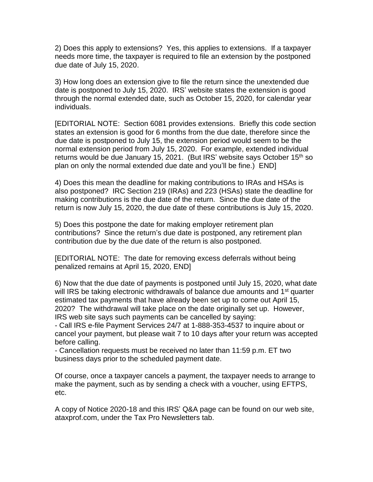2) Does this apply to extensions? Yes, this applies to extensions. If a taxpayer needs more time, the taxpayer is required to file an extension by the postponed due date of July 15, 2020.

3) How long does an extension give to file the return since the unextended due date is postponed to July 15, 2020. IRS' website states the extension is good through the normal extended date, such as October 15, 2020, for calendar year individuals.

[EDITORIAL NOTE: Section 6081 provides extensions. Briefly this code section states an extension is good for 6 months from the due date, therefore since the due date is postponed to July 15, the extension period would seem to be the normal extension period from July 15, 2020. For example, extended individual returns would be due January 15, 2021. (But IRS' website says October 15<sup>th</sup> so plan on only the normal extended due date and you'll be fine.) END]

4) Does this mean the deadline for making contributions to IRAs and HSAs is also postponed? IRC Section 219 (IRAs) and 223 (HSAs) state the deadline for making contributions is the due date of the return. Since the due date of the return is now July 15, 2020, the due date of these contributions is July 15, 2020.

5) Does this postpone the date for making employer retirement plan contributions? Since the return's due date is postponed, any retirement plan contribution due by the due date of the return is also postponed.

[EDITORIAL NOTE: The date for removing excess deferrals without being penalized remains at April 15, 2020, END]

6) Now that the due date of payments is postponed until July 15, 2020, what date will IRS be taking electronic withdrawals of balance due amounts and 1<sup>st</sup> quarter estimated tax payments that have already been set up to come out April 15, 2020? The withdrawal will take place on the date originally set up. However, IRS web site says such payments can be cancelled by saying:

- Call IRS e-file Payment Services 24/7 at 1-888-353-4537 to inquire about or cancel your payment, but please wait 7 to 10 days after your return was accepted before calling.

- Cancellation requests must be received no later than 11:59 p.m. ET two business days prior to the scheduled payment date.

Of course, once a taxpayer cancels a payment, the taxpayer needs to arrange to make the payment, such as by sending a check with a voucher, using EFTPS, etc.

A copy of Notice 2020-18 and this IRS' Q&A page can be found on our web site, ataxprof.com, under the Tax Pro Newsletters tab.